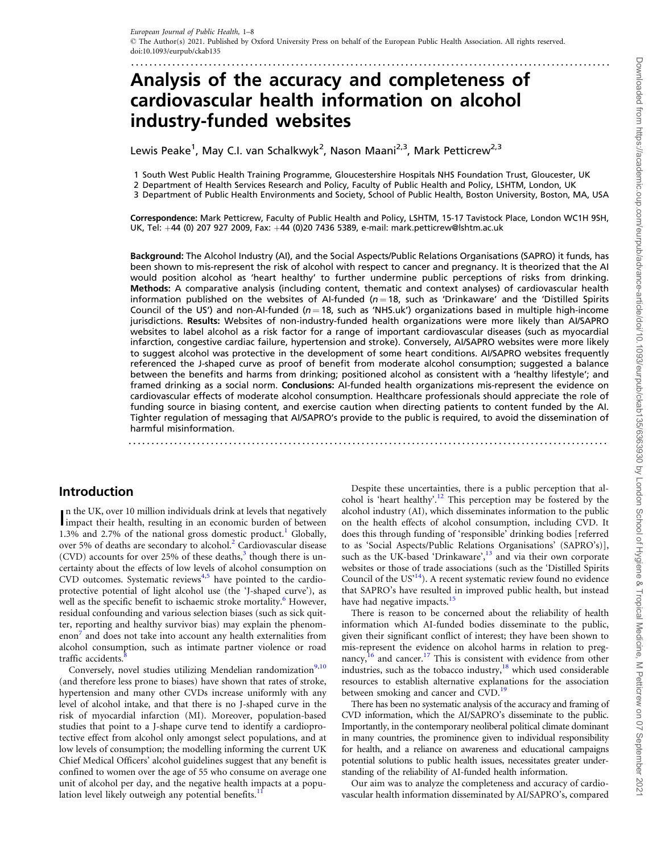# Analysis of the accuracy and completeness of cardiovascular health information on alcohol industry-funded websites

Lewis Peake<sup>1</sup>, May C.I. van Schalkwyk<sup>2</sup>, Nason Maani<sup>2,3</sup>, Mark Petticrew<sup>2,3</sup>

1 South West Public Health Training Programme, Gloucestershire Hospitals NHS Foundation Trust, Gloucester, UK

2 Department of Health Services Research and Policy, Faculty of Public Health and Policy, LSHTM, London, UK

<span id="page-0-0"></span>.........................................................................................................

3 Department of Public Health Environments and Society, School of Public Health, Boston University, Boston, MA, USA

Correspondence: Mark Petticrew, Faculty of Public Health and Policy, LSHTM, 15-17 Tavistock Place, London WC1H 9SH, UK, Tel: +44 (0) 207 927 2009, Fax: +44 (0)20 7436 5389, e-mail: mark.petticrew@lshtm.ac.uk

Background: The Alcohol Industry (AI), and the Social Aspects/Public Relations Organisations (SAPRO) it funds, has been shown to mis-represent the risk of alcohol with respect to cancer and pregnancy. It is theorized that the AI would position alcohol as 'heart healthy' to further undermine public perceptions of risks from drinking. Methods: A comparative analysis (including content, thematic and context analyses) of cardiovascular health information published on the websites of AI-funded ( $n = 18$ , such as 'Drinkaware' and the 'Distilled Spirits Council of the US') and non-AI-funded ( $n = 18$ , such as 'NHS.uk') organizations based in multiple high-income jurisdictions. Results: Websites of non-industry-funded health organizations were more likely than AI/SAPRO websites to label alcohol as a risk factor for a range of important cardiovascular diseases (such as myocardial infarction, congestive cardiac failure, hypertension and stroke). Conversely, AI/SAPRO websites were more likely to suggest alcohol was protective in the development of some heart conditions. AI/SAPRO websites frequently referenced the J-shaped curve as proof of benefit from moderate alcohol consumption; suggested a balance between the benefits and harms from drinking; positioned alcohol as consistent with a 'healthy lifestyle'; and framed drinking as a social norm. Conclusions: AI-funded health organizations mis-represent the evidence on cardiovascular effects of moderate alcohol consumption. Healthcare professionals should appreciate the role of funding source in biasing content, and exercise caution when directing patients to content funded by the AI. Tighter regulation of messaging that AI/SAPRO's provide to the public is required, to avoid the dissemination of harmful misinformation. .......................................................................................................................

### Introduction

In the UK, over 10 million individuals drink at levels that negatively impact their health, resulting in an economic burden of between n the UK, over 10 million individuals drink at levels that negatively [1](#page-6-0).3% and 2.7% of the national gross domestic product.<sup>1</sup> Globally, over 5% of deaths are secondary to alcohol.<sup>[2](#page-6-0)</sup> Cardiovascular disease (CVD) accounts for over 25% of these deaths, $3$  though there is uncertainty about the effects of low levels of alcohol consumption on CVD outcomes. Systematic reviews<sup>4,5</sup> have pointed to the cardioprotective potential of light alcohol use (the 'J-shaped curve'), as well as the specific benefit to ischaemic stroke mortality.<sup>8</sup> However, residual confounding and various selection biases (such as sick quitter, reporting and healthy survivor bias) may explain the phenomenon' and does not take into account any health externalities from alcohol consumption, such as intimate partner violence or road traffic accidents.

Conversely, novel studies utilizing Mendelian randomization<sup>[9](#page-6-0),[10](#page-6-0)</sup> (and therefore less prone to biases) have shown that rates of stroke, hypertension and many other CVDs increase uniformly with any level of alcohol intake, and that there is no J-shaped curve in the risk of myocardial infarction (MI). Moreover, population-based studies that point to a J-shape curve tend to identify a cardioprotective effect from alcohol only amongst select populations, and at low levels of consumption; the modelling informing the current UK Chief Medical Officers' alcohol guidelines suggest that any benefit is confined to women over the age of 55 who consume on average one unit of alcohol per day, and the negative health impacts at a population level likely outweigh any potential benefits.<sup>1</sup>

Despite these uncertainties, there is a public perception that alcohol is 'heart healthy'.[12](#page-6-0) This perception may be fostered by the alcohol industry (AI), which disseminates information to the public on the health effects of alcohol consumption, including CVD. It does this through funding of 'responsible' drinking bodies [referred to as 'Social Aspects/Public Relations Organisations' (SAPRO's)], such as the UK-based 'Drinkaware',<sup>[13](#page-6-0)</sup> and via their own corporate websites or those of trade associations (such as the 'Distilled Spirits Council of the  $US<sup>14</sup>$ ). A recent systematic review found no evidence that SAPRO's have resulted in improved public health, but instead have had negative impacts.<sup>[15](#page-6-0)</sup>

There is reason to be concerned about the reliability of health information which AI-funded bodies disseminate to the public, given their significant conflict of interest; they have been shown to mis-represent the evidence on alcohol harms in relation to pregnancy, $^{16}$  $^{16}$  $^{16}$  and cancer.<sup>17</sup> This is consistent with evidence from other industries, such as the tobacco industry, $18$  which used considerable resources to establish alternative explanations for the association between smoking and cancer and CVD.<sup>[19](#page-6-0)</sup>

There has been no systematic analysis of the accuracy and framing of CVD information, which the AI/SAPRO's disseminate to the public. Importantly, in the contemporary neoliberal political climate dominant in many countries, the prominence given to individual responsibility for health, and a reliance on awareness and educational campaigns potential solutions to public health issues, necessitates greater understanding of the reliability of AI-funded health information.

Our aim was to analyze the completeness and accuracy of cardiovascular health information disseminated by AI/SAPRO's, compared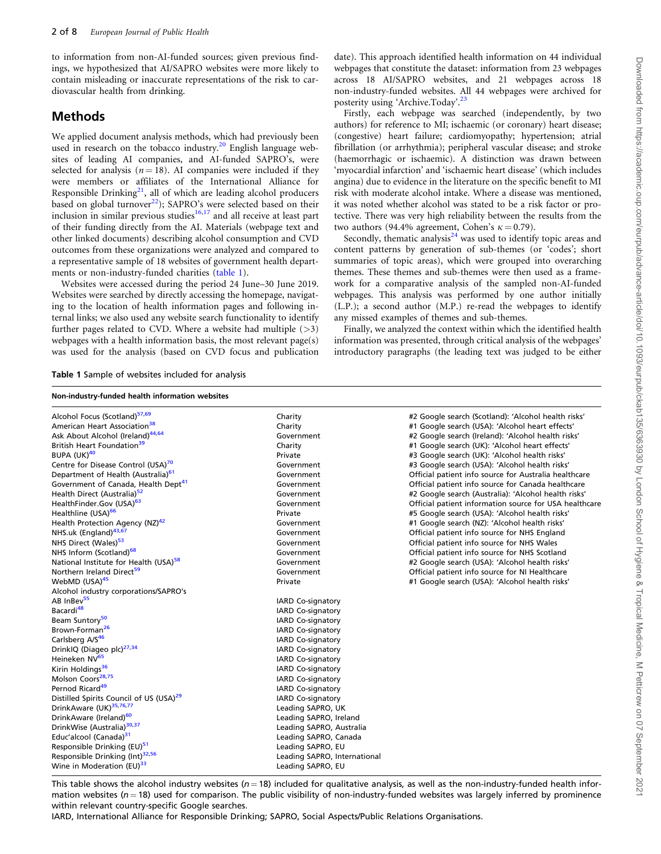<span id="page-1-0"></span>to information from non-AI-funded sources; given previous findings, we hypothesized that AI/SAPRO websites were more likely to contain misleading or inaccurate representations of the risk to cardiovascular health from drinking.

### Methods

We applied document analysis methods, which had previously been used in research on the tobacco industry.<sup>[20](#page-6-0)</sup> English language websites of leading AI companies, and AI-funded SAPRO's, were selected for analysis ( $n = 18$ ). AI companies were included if they were members or affiliates of the International Alliance for Responsible Drinking $^{21}$ , all of which are leading alcohol producers based on global turnover $^{22}$ ); SAPRO's were selected based on their inclusion in similar previous studies $16,17$  and all receive at least part of their funding directly from the AI. Materials (webpage text and other linked documents) describing alcohol consumption and CVD outcomes from these organizations were analyzed and compared to a representative sample of 18 websites of government health departments or non-industry-funded charities (table 1).

Websites were accessed during the period 24 June–30 June 2019. Websites were searched by directly accessing the homepage, navigating to the location of health information pages and following internal links; we also used any website search functionality to identify further pages related to CVD. Where a website had multiple  $(>3)$ webpages with a health information basis, the most relevant page(s) was used for the analysis (based on CVD focus and publication date). This approach identified health information on 44 individual webpages that constitute the dataset: information from 23 webpages across 18 AI/SAPRO websites, and 21 webpages across 18 non-industry-funded websites. All 44 webpages were archived for posterity using 'Archive.Today'.[23](#page-6-0)

Firstly, each webpage was searched (independently, by two authors) for reference to MI; ischaemic (or coronary) heart disease; (congestive) heart failure; cardiomyopathy; hypertension; atrial fibrillation (or arrhythmia); peripheral vascular disease; and stroke (haemorrhagic or ischaemic). A distinction was drawn between 'myocardial infarction' and 'ischaemic heart disease' (which includes angina) due to evidence in the literature on the specific benefit to MI risk with moderate alcohol intake. Where a disease was mentioned, it was noted whether alcohol was stated to be a risk factor or protective. There was very high reliability between the results from the two authors (94.4% agreement, Cohen's  $\kappa = 0.79$ ).

Secondly, thematic analysis $24$  was used to identify topic areas and content patterns by generation of sub-themes (or 'codes'; short summaries of topic areas), which were grouped into overarching themes. These themes and sub-themes were then used as a framework for a comparative analysis of the sampled non-AI-funded webpages. This analysis was performed by one author initially (L.P.); a second author (M.P.) re-read the webpages to identify any missed examples of themes and sub-themes.

Finally, we analyzed the context within which the identified health information was presented, through critical analysis of the webpages' introductory paragraphs (the leading text was judged to be either

Table 1 Sample of websites included for analysis

| Non-industry-funded health information websites     |                              |                                                        |  |  |
|-----------------------------------------------------|------------------------------|--------------------------------------------------------|--|--|
| Alcohol Focus (Scotland) <sup>57,69</sup>           | Charity                      | #2 Google search (Scotland): 'Alcohol health risks'    |  |  |
| American Heart Association <sup>38</sup>            | Charity                      | #1 Google search (USA): 'Alcohol heart effects'        |  |  |
| Ask About Alcohol (Ireland) <sup>44,64</sup>        | Government                   | #2 Google search (Ireland): 'Alcohol health risks'     |  |  |
| British Heart Foundation <sup>39</sup>              | Charity                      | #1 Google search (UK): 'Alcohol heart effects'         |  |  |
| BUPA (UK) <sup>40</sup>                             | Private                      | #3 Google search (UK): 'Alcohol health risks'          |  |  |
| Centre for Disease Control (USA) <sup>70</sup>      | Government                   | #3 Google search (USA): 'Alcohol health risks'         |  |  |
| Department of Health (Australia) <sup>61</sup>      | Government                   | Official patient info source for Australia healthcare  |  |  |
| Government of Canada, Health Dept <sup>41</sup>     | Government                   | Official patient info source for Canada healthcare     |  |  |
| Health Direct (Australia) <sup>52</sup>             | Government                   | #2 Google search (Australia): 'Alcohol health risks'   |  |  |
| HealthFinder.Gov (USA) <sup>63</sup>                | Government                   | Official patient information source for USA healthcare |  |  |
| Healthline (USA) <sup>66</sup>                      | Private                      | #5 Google search (USA): 'Alcohol health risks'         |  |  |
| Health Protection Agency (NZ) <sup>42</sup>         | Government                   | #1 Google search (NZ): 'Alcohol health risks'          |  |  |
| NHS.uk (England) <sup>43,67</sup>                   | Government                   | Official patient info source for NHS England           |  |  |
| NHS Direct (Wales) <sup>53</sup>                    | Government                   | Official patient info source for NHS Wales             |  |  |
| NHS Inform (Scotland) <sup>68</sup>                 | Government                   | Official patient info source for NHS Scotland          |  |  |
| National Institute for Health (USA) <sup>58</sup>   | Government                   | #2 Google search (USA): 'Alcohol health risks'         |  |  |
| Northern Ireland Direct <sup>59</sup>               | Government                   | Official patient info source for NI Healthcare         |  |  |
| WebMD (USA) <sup>45</sup>                           | Private                      | #1 Google search (USA): 'Alcohol health risks'         |  |  |
| Alcohol industry corporations/SAPRO's               |                              |                                                        |  |  |
| AB InBev <sup>55</sup>                              | IARD Co-signatory            |                                                        |  |  |
| Bacardi <sup>48</sup>                               | IARD Co-signatory            |                                                        |  |  |
| Beam Suntory <sup>50</sup>                          | IARD Co-signatory            |                                                        |  |  |
| Brown-Forman <sup>26</sup>                          | IARD Co-signatory            |                                                        |  |  |
| Carlsberg A/S <sup>46</sup>                         | IARD Co-signatory            |                                                        |  |  |
| DrinkIQ (Diageo plc) <sup>27,34</sup>               | IARD Co-signatory            |                                                        |  |  |
| Heineken NV <sup>65</sup>                           | IARD Co-signatory            |                                                        |  |  |
| Kirin Holdings <sup>36</sup>                        | IARD Co-signatory            |                                                        |  |  |
| Molson Coors <sup>28,75</sup>                       | IARD Co-signatory            |                                                        |  |  |
| Pernod Ricard <sup>49</sup>                         | IARD Co-signatory            |                                                        |  |  |
| Distilled Spirits Council of US (USA) <sup>29</sup> | IARD Co-signatory            |                                                        |  |  |
| DrinkAware (UK) <sup>35,76,77</sup>                 | Leading SAPRO, UK            |                                                        |  |  |
| DrinkAware (Ireland) <sup>60</sup>                  | Leading SAPRO, Ireland       |                                                        |  |  |
| DrinkWise (Australia) <sup>30,37</sup>              | Leading SAPRO, Australia     |                                                        |  |  |
| Educ'alcool (Canada) <sup>31</sup>                  | Leading SAPRO, Canada        |                                                        |  |  |
| Responsible Drinking (EU) <sup>51</sup>             | Leading SAPRO, EU            |                                                        |  |  |
| Responsible Drinking (Int) <sup>32,56</sup>         | Leading SAPRO, International |                                                        |  |  |
| Wine in Moderation (EU) <sup>33</sup>               | Leading SAPRO, EU            |                                                        |  |  |

This table shows the alcohol industry websites ( $n = 18$ ) included for qualitative analysis, as well as the non-industry-funded health information websites ( $n = 18$ ) used for comparison. The public visibility of non-industry-funded websites was largely inferred by prominence within relevant country-specific Google searches.

IARD, International Alliance for Responsible Drinking; SAPRO, Social Aspects/Public Relations Organisations.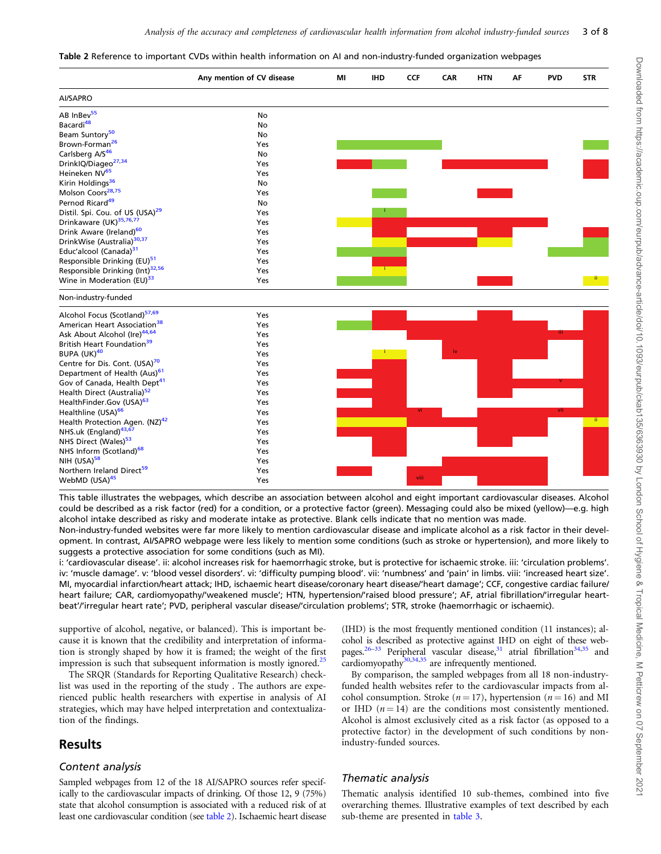<span id="page-2-0"></span>

| Table 2 Reference to important CVDs within health information on AI and non-industry-funded organization webpages |  |  |
|-------------------------------------------------------------------------------------------------------------------|--|--|
|-------------------------------------------------------------------------------------------------------------------|--|--|

|                                             | Any mention of CV disease | ΜI | <b>IHD</b> | <b>CCF</b> | CAR | <b>HTN</b> | ΑF | <b>PVD</b> | <b>STR</b>   |
|---------------------------------------------|---------------------------|----|------------|------------|-----|------------|----|------------|--------------|
| AI/SAPRO                                    |                           |    |            |            |     |            |    |            |              |
| AB InBev <sup>55</sup>                      | No                        |    |            |            |     |            |    |            |              |
| Bacardi <sup>48</sup>                       | No                        |    |            |            |     |            |    |            |              |
| Beam Suntory <sup>50</sup>                  | No                        |    |            |            |     |            |    |            |              |
| Brown-Forman <sup>26</sup>                  | Yes                       |    |            |            |     |            |    |            |              |
| Carlsberg A/S <sup>46</sup>                 | No                        |    |            |            |     |            |    |            |              |
| DrinklQ/Diageo <sup>27,34</sup>             | Yes                       |    |            |            |     |            |    |            |              |
| Heineken NV <sup>65</sup>                   | Yes                       |    |            |            |     |            |    |            |              |
| Kirin Holdings <sup>36</sup>                | No                        |    |            |            |     |            |    |            |              |
| Molson Coors <sup>28,75</sup>               | Yes                       |    |            |            |     |            |    |            |              |
| Pernod Ricard <sup>49</sup>                 | No                        |    |            |            |     |            |    |            |              |
| Distil. Spi. Cou. of US (USA) <sup>29</sup> | Yes                       |    |            |            |     |            |    |            |              |
| Drinkaware (UK) <sup>35,76,77</sup>         | Yes                       |    |            |            |     |            |    |            |              |
| Drink Aware (Ireland) <sup>60</sup>         | Yes                       |    |            |            |     |            |    |            |              |
| DrinkWise (Australia) <sup>30,37</sup>      | Yes                       |    |            |            |     |            |    |            |              |
| Educ'alcool (Canada) <sup>31</sup>          | Yes                       |    |            |            |     |            |    |            |              |
| Responsible Drinking (EU) <sup>51</sup>     | Yes                       |    |            |            |     |            |    |            |              |
| Responsible Drinking (Int)32,56             | Yes                       |    |            |            |     |            |    |            |              |
| Wine in Moderation (EU) <sup>33</sup>       | Yes                       |    |            |            |     |            |    |            | -ii.         |
| Non-industry-funded                         |                           |    |            |            |     |            |    |            |              |
| Alcohol Focus (Scotland) <sup>57,69</sup>   | Yes                       |    |            |            |     |            |    |            |              |
| American Heart Association <sup>38</sup>    | Yes                       |    |            |            |     |            |    |            |              |
| Ask About Alcohol (Ire) <sup>44,64</sup>    | Yes                       |    |            |            |     |            |    |            |              |
| British Heart Foundation <sup>39</sup>      | Yes                       |    |            |            |     |            |    |            |              |
| BUPA (UK) <sup>40</sup>                     | Yes                       |    |            |            | iv  |            |    |            |              |
| Centre for Dis. Cont. (USA) <sup>70</sup>   | Yes                       |    |            |            |     |            |    |            |              |
| Department of Health (Aus) <sup>61</sup>    | Yes                       |    |            |            |     |            |    |            |              |
| Gov of Canada, Health Dept <sup>41</sup>    | Yes                       |    |            |            |     |            |    |            |              |
| Health Direct (Australia) <sup>52</sup>     | Yes                       |    |            |            |     |            |    |            |              |
| HealthFinder.Gov (USA) <sup>63</sup>        | Yes                       |    |            |            |     |            |    |            |              |
| Healthline (USA) <sup>66</sup>              | Yes                       |    |            |            |     |            |    |            |              |
| Health Protection Agen. (NZ) <sup>42</sup>  | Yes                       |    |            |            |     |            |    |            | $\mathbf{u}$ |
| NHS.uk (England) <sup>43,67</sup>           | Yes                       |    |            |            |     |            |    |            |              |
| NHS Direct (Wales) <sup>53</sup>            | Yes                       |    |            |            |     |            |    |            |              |
| NHS Inform (Scotland) <sup>68</sup>         | Yes                       |    |            |            |     |            |    |            |              |
| NIH (USA) <sup>58</sup>                     | Yes                       |    |            |            |     |            |    |            |              |
| Northern Ireland Direct <sup>59</sup>       | Yes                       |    |            |            |     |            |    |            |              |
| WebMD (USA) <sup>45</sup>                   | Yes                       |    |            | viii.      |     |            |    |            |              |
|                                             |                           |    |            |            |     |            |    |            |              |

This table illustrates the webpages, which describe an association between alcohol and eight important cardiovascular diseases. Alcohol could be described as a risk factor (red) for a condition, or a protective factor (green). Messaging could also be mixed (yellow)—e.g. high alcohol intake described as risky and moderate intake as protective. Blank cells indicate that no mention was made.

Non-industry-funded websites were far more likely to mention cardiovascular disease and implicate alcohol as a risk factor in their development. In contrast, AI/SAPRO webpage were less likely to mention some conditions (such as stroke or hypertension), and more likely to suggests a protective association for some conditions (such as MI).

i: 'cardiovascular disease'. ii: alcohol increases risk for haemorrhagic stroke, but is protective for ischaemic stroke. iii: 'circulation problems'. iv: 'muscle damage'. v: 'blood vessel disorders'. vi: 'difficulty pumping blood'. vii: 'numbness' and 'pain' in limbs. viii: 'increased heart size'. MI, myocardial infarction/heart attack; IHD, ischaemic heart disease/coronary heart disease/'heart damage'; CCF, congestive cardiac failure/ heart failure; CAR, cardiomyopathy/'weakened muscle'; HTN, hypertension/'raised blood pressure'; AF, atrial fibrillation/'irregular heartbeat'/'irregular heart rate'; PVD, peripheral vascular disease/'circulation problems'; STR, stroke (haemorrhagic or ischaemic).

supportive of alcohol, negative, or balanced). This is important because it is known that the credibility and interpretation of information is strongly shaped by how it is framed; the weight of the first impression is such that subsequent information is mostly ignored.<sup>25</sup>

The SRQR (Standards for Reporting Qualitative Research) checklist was used in the reporting of the study . The authors are experienced public health researchers with expertise in analysis of AI strategies, which may have helped interpretation and contextualization of the findings.

### Results

### Content analysis

Sampled webpages from 12 of the 18 AI/SAPRO sources refer specifically to the cardiovascular impacts of drinking. Of those 12, 9 (75%) state that alcohol consumption is associated with a reduced risk of at least one cardiovascular condition (see table 2). Ischaemic heart disease (IHD) is the most frequently mentioned condition (11 instances); alcohol is described as protective against IHD on eight of these web-pages.<sup>[26](#page-6-0)[–33](#page-7-0)</sup> Peripheral vascular disease,<sup>[31](#page-7-0)</sup> atrial fibrillation<sup>[34,35](#page-7-0)</sup> and cardiomyopathy<sup>[30,34,35](#page-7-0)</sup> are infrequently mentioned.

By comparison, the sampled webpages from all 18 non-industryfunded health websites refer to the cardiovascular impacts from alcohol consumption. Stroke ( $n = 17$ ), hypertension ( $n = 16$ ) and MI or IHD  $(n = 14)$  are the conditions most consistently mentioned. Alcohol is almost exclusively cited as a risk factor (as opposed to a protective factor) in the development of such conditions by nonindustry-funded sources.

### Thematic analysis

Thematic analysis identified 10 sub-themes, combined into five overarching themes. Illustrative examples of text described by each sub-theme are presented in [table 3.](#page-3-0)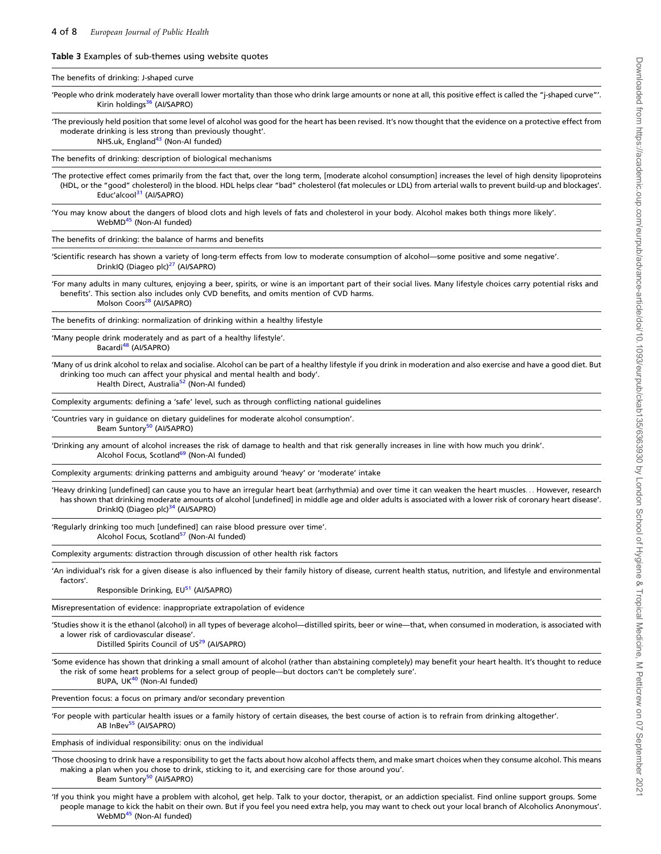<span id="page-3-0"></span>Table 3 Examples of sub-themes using website quotes

WebMD<sup>45</sup> (Non-Al funded)

| The benefits of drinking: J-shaped curve                                                                                                                                                                                                                                                                                                                                 |
|--------------------------------------------------------------------------------------------------------------------------------------------------------------------------------------------------------------------------------------------------------------------------------------------------------------------------------------------------------------------------|
| 'People who drink moderately have overall lower mortality than those who drink large amounts or none at all, this positive effect is called the "j-shaped curve"'.<br>Kirin holdings <sup>36</sup> (Al/SAPRO)                                                                                                                                                            |
| The previously held position that some level of alcohol was good for the heart has been revised. It's now thought that the evidence on a protective effect from<br>moderate drinking is less strong than previously thought'.<br>NHS.uk, England <sup>43</sup> (Non-AI funded)                                                                                           |
| The benefits of drinking: description of biological mechanisms                                                                                                                                                                                                                                                                                                           |
| The protective effect comes primarily from the fact that, over the long term, [moderate alcohol consumption] increases the level of high density lipoproteins<br>(HDL, or the "good" cholesterol) in the blood. HDL helps clear "bad" cholesterol (fat molecules or LDL) from arterial walls to prevent build-up and blockages'.<br>Educ'alcool <sup>31</sup> (Al/SAPRO) |
| 'You may know about the dangers of blood clots and high levels of fats and cholesterol in your body. Alcohol makes both things more likely'.<br>WebMD <sup>45</sup> (Non-AI funded)                                                                                                                                                                                      |
| The benefits of drinking: the balance of harms and benefits                                                                                                                                                                                                                                                                                                              |
| 'Scientific research has shown a variety of long-term effects from low to moderate consumption of alcohol—some positive and some negative'.<br>DrinkIQ (Diageo plc) <sup>27</sup> (Al/SAPRO)                                                                                                                                                                             |
| 'For many adults in many cultures, enjoying a beer, spirits, or wine is an important part of their social lives. Many lifestyle choices carry potential risks and<br>benefits'. This section also includes only CVD benefits, and omits mention of CVD harms.<br>Molson Coors <sup>28</sup> (Al/SAPRO)                                                                   |
| The benefits of drinking: normalization of drinking within a healthy lifestyle                                                                                                                                                                                                                                                                                           |
| 'Many people drink moderately and as part of a healthy lifestyle'.<br>Bacardi <sup>48</sup> (AI/SAPRO)                                                                                                                                                                                                                                                                   |
| 'Many of us drink alcohol to relax and socialise. Alcohol can be part of a healthy lifestyle if you drink in moderation and also exercise and have a good diet. But<br>drinking too much can affect your physical and mental health and body'.<br>Health Direct, Australia <sup>52</sup> (Non-AI funded)                                                                 |
| Complexity arguments: defining a 'safe' level, such as through conflicting national guidelines                                                                                                                                                                                                                                                                           |
| 'Countries vary in guidance on dietary guidelines for moderate alcohol consumption'.<br>Beam Suntory <sup>50</sup> (Al/SAPRO)                                                                                                                                                                                                                                            |
| 'Drinking any amount of alcohol increases the risk of damage to health and that risk generally increases in line with how much you drink'.<br>Alcohol Focus, Scotland <sup>69</sup> (Non-AI funded)                                                                                                                                                                      |
| Complexity arguments: drinking patterns and ambiguity around 'heavy' or 'moderate' intake                                                                                                                                                                                                                                                                                |
| 'Heavy drinking [undefined] can cause you to have an irregular heart beat (arrhythmia) and over time it can weaken the heart muscles However, research<br>has shown that drinking moderate amounts of alcohol [undefined] in middle age and older adults is associated with a lower risk of coronary heart disease'.<br>DrinkIQ (Diageo plc) <sup>34</sup> (Al/SAPRO)    |
| 'Regularly drinking too much [undefined] can raise blood pressure over time'.<br>Alcohol Focus, Scotland <sup>57</sup> (Non-AI funded)                                                                                                                                                                                                                                   |
| Complexity arguments: distraction through discussion of other health risk factors                                                                                                                                                                                                                                                                                        |
| 'An individual's risk for a given disease is also influenced by their family history of disease, current health status, nutrition, and lifestyle and environmental                                                                                                                                                                                                       |
| factors'.<br>Responsible Drinking, EU <sup>51</sup> (AI/SAPRO)                                                                                                                                                                                                                                                                                                           |
| Misrepresentation of evidence: inappropriate extrapolation of evidence                                                                                                                                                                                                                                                                                                   |
| 'Studies show it is the ethanol (alcohol) in all types of beverage alcohol—distilled spirits, beer or wine—that, when consumed in moderation, is associated with<br>a lower risk of cardiovascular disease'.<br>Distilled Spirits Council of US <sup>29</sup> (AI/SAPRO)                                                                                                 |
| 'Some evidence has shown that drinking a small amount of alcohol (rather than abstaining completely) may benefit your heart health. It's thought to reduce<br>the risk of some heart problems for a select group of people—but doctors can't be completely sure'.<br>BUPA, UK <sup>40</sup> (Non-Al funded)                                                              |
| Prevention focus: a focus on primary and/or secondary prevention                                                                                                                                                                                                                                                                                                         |
| 'For people with particular health issues or a family history of certain diseases, the best course of action is to refrain from drinking altogether'.<br>AB InBev <sup>55</sup> (AI/SAPRO)                                                                                                                                                                               |
| Emphasis of individual responsibility: onus on the individual                                                                                                                                                                                                                                                                                                            |
| Those choosing to drink have a responsibility to get the facts about how alcohol affects them, and make smart choices when they consume alcohol. This means<br>making a plan when you chose to drink, sticking to it, and exercising care for those around you'.<br>Beam Suntory <sup>50</sup> (Al/SAPRO)                                                                |
| 'If you think you might have a problem with alcohol, get help. Talk to your doctor, therapist, or an addiction specialist. Find online support groups. Some<br>people manage to kick the habit on their own. But if you feel you need extra help, you may want to check out your local branch of Alcoholics Anonymous'.                                                  |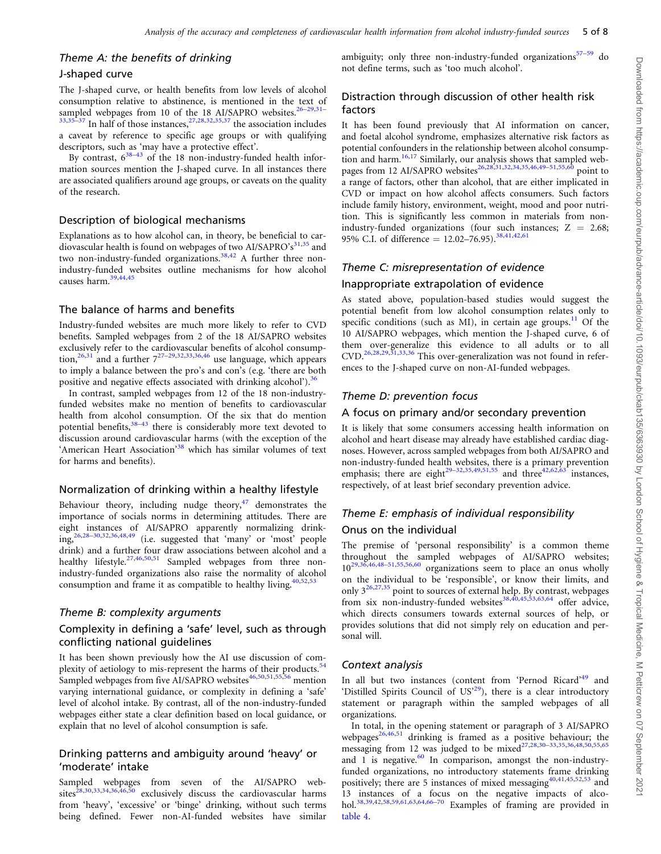### Theme A: the benefits of drinking

#### J-shaped curve

The J-shaped curve, or health benefits from low levels of alcohol consumption relative to abstinence, is mentioned in the text of sampled webpages from 10 of the 18 AI/SAPRO websites.<sup>[26](#page-6-0)[–29](#page-7-0),[31](#page-7-0)–</sup>  $33,35-37$  $33,35-37$  $33,35-37$  $33,35-37$  $33,35-37$  In half of those instances,  $27,28,32,35,37$  $27,28,32,35,37$  $27,28,32,35,37$  the association includes a caveat by reference to specific age groups or with qualifying descriptors, such as 'may have a protective effect'.

By contrast,  $6^{38-43}$  of the 18 non-industry-funded health information sources mention the J-shaped curve. In all instances there are associated qualifiers around age groups, or caveats on the quality of the research.

### Description of biological mechanisms

Explanations as to how alcohol can, in theory, be beneficial to cardiovascular health is found on webpages of two AI/SAPRO's $31,35$  and two non-industry-funded organizations.<sup>[38,](#page-7-0)42</sup> A further three nonindustry-funded websites outline mechanisms for how alcohol causes harm.<sup>[39,](#page-7-0)44,45</sup>

### The balance of harms and benefits

Industry-funded websites are much more likely to refer to CVD benefits. Sampled webpages from 2 of the 18 AI/SAPRO websites exclusively refer to the cardiovascular benefits of alcohol consump-tion,<sup>[26](#page-6-0),[31](#page-7-0)</sup> and a further  $7^{27-29,32,33,36,46}$  $7^{27-29,32,33,36,46}$  $7^{27-29,32,33,36,46}$  $7^{27-29,32,33,36,46}$  $7^{27-29,32,33,36,46}$  use language, which appears to imply a balance between the pro's and con's (e.g. 'there are both positive and negative effects associated with drinking alcohol').<sup>[36](#page-7-0)</sup>

In contrast, sampled webpages from 12 of the 18 non-industryfunded websites make no mention of benefits to cardiovascular health from alcohol consumption. Of the six that do mention potential benefits,<sup>38-43</sup> there is considerably more text devoted to discussion around cardiovascular harms (with the exception of the 'American Heart Association'<sup>[38](#page-7-0)</sup> which has similar volumes of text for harms and benefits).

### Normalization of drinking within a healthy lifestyle

Behaviour theory, including nudge theory, $47$  demonstrates the importance of socials norms in determining attitudes. There are eight instances of AI/SAPRO apparently normalizing drinking[,26](#page-6-0)[,28–30,32,36](#page-7-0),48,49 (i.e. suggested that 'many' or 'most' people drink) and a further four draw associations between alcohol and a healthy lifestyle.<sup>27,46,50,51</sup> Sampled webpages from three nonindustry-funded organizations also raise the normality of alcohol consumption and frame it as compatible to healthy living.  $40,52,53$  $40,52,53$ 

### Theme B: complexity arguments

### Complexity in defining a 'safe' level, such as through conflicting national guidelines

It has been shown previously how the AI use discussion of complexity of aetiology to mis-represent the harms of their products.<sup>54</sup> Sampled webpages from five AI/SAPRO websites<sup>46,50,51,55,56</sup> mention varying international guidance, or complexity in defining a 'safe' level of alcohol intake. By contrast, all of the non-industry-funded webpages either state a clear definition based on local guidance, or explain that no level of alcohol consumption is safe.

### Drinking patterns and ambiguity around 'heavy' or 'moderate' intake

Sampled webpages from seven of the AI/SAPRO websites<sup>28,30,33,34,36,46,50</sup> exclusively discuss the cardiovascular harms from 'heavy', 'excessive' or 'binge' drinking, without such terms being defined. Fewer non-AI-funded websites have similar ambiguity; only three non-industry-funded organizations<sup>57–59</sup> do not define terms, such as 'too much alcohol'.

### Distraction through discussion of other health risk factors

It has been found previously that AI information on cancer, and foetal alcohol syndrome, emphasizes alternative risk factors as potential confounders in the relationship between alcohol consump-tion and harm.<sup>[16,17](#page-6-0)</sup> Similarly, our analysis shows that sampled web-pages from 12 AI/SAPRO websites<sup>[26](#page-6-0),[28](#page-7-0),[31](#page-7-0),[32,34,35,](#page-7-0)46,49–51,55,60</sup> point to a range of factors, other than alcohol, that are either implicated in CVD or impact on how alcohol affects consumers. Such factors include family history, environment, weight, mood and poor nutrition. This is significantly less common in materials from nonindustry-funded organizations (four such instances;  $Z = 2.68$ ; 95% C.I. of difference =  $12.02-76.95$ ).<sup>[38](#page-7-0),[41](#page-7-0),42,61</sup>

### Theme C: misrepresentation of evidence

### Inappropriate extrapolation of evidence

As stated above, population-based studies would suggest the potential benefit from low alcohol consumption relates only to specific conditions (such as MI), in certain age groups.<sup>11</sup> Of the 10 AI/SAPRO webpages, which mention the J-shaped curve, 6 of them over-generalize this evidence to all adults or to all  $CVD$ .<sup>[26](#page-6-0)[,28,29,31](#page-7-0),[33](#page-7-0),[36](#page-7-0)</sup> This over-generalization was not found in references to the J-shaped curve on non-AI-funded webpages.

### Theme D: prevention focus

### A focus on primary and/or secondary prevention

It is likely that some consumers accessing health information on alcohol and heart disease may already have established cardiac diagnoses. However, across sampled webpages from both AI/SAPRO and non-industry-funded health websites, there is a primary prevention emphasis; there are eight<sup>[29](#page-7-0)–[32](#page-7-0),[35](#page-7-0),49,51,55</sup> and three<sup>42,62,63</sup> instances, respectively, of at least brief secondary prevention advice.

### Theme E: emphasis of individual responsibility Onus on the individual

The premise of 'personal responsibility' is a common theme throughout the sampled webpages of AI/SAPRO websites;  $10^{29,36,46,48-51,55,56,60}$  organizations seem to place an onus wholly on the individual to be 'responsible', or know their limits, and only  $3^{26,27,35}$  $3^{26,27,35}$  $3^{26,27,35}$  point to sources of external help. By contrast, webpages from six non-industry-funded websites<sup>[38](#page-7-0),[40](#page-7-0),45,53,63,64</sup> offer advice, which directs consumers towards external sources of help, or provides solutions that did not simply rely on education and personal will.

### Context analysis

In all but two instances (content from 'Pernod Ricard'<sup>49</sup> and 'Distilled Spirits Council of US['29\)](#page-7-0), there is a clear introductory statement or paragraph within the sampled webpages of all organizations.

In total, in the opening statement or paragraph of 3 AI/SAPRO webpages $26,46,51$  $26,46,51$  drinking is framed as a positive behaviour; the messaging from 12 was judged to be  $mixed^{27,28,30-33,35,36,48,50,55,65}$  $mixed^{27,28,30-33,35,36,48,50,55,65}$  $mixed^{27,28,30-33,35,36,48,50,55,65}$ and 1 is negative. $60$  In comparison, amongst the non-industryfunded organizations, no introductory statements frame drinking positively; there are 5 instances of mixed messaging<sup>[40](#page-7-0),[41](#page-7-0),45,52,53</sup> and 13 instances of a focus on the negative impacts of alcohol.[38,39](#page-7-0),42,58,59,61,63,64,66–70 Examples of framing are provided in [table 4](#page-5-0).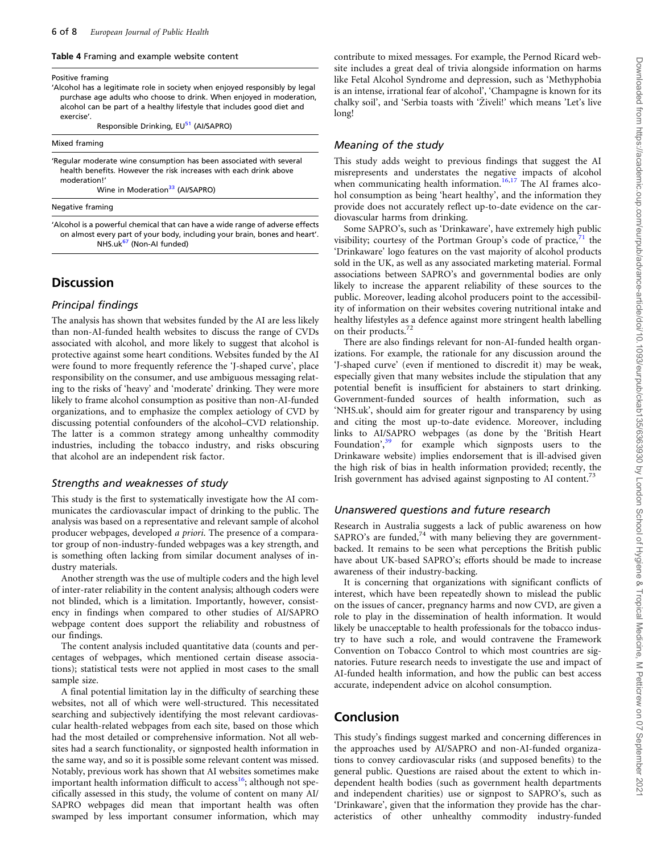#### <span id="page-5-0"></span>Table 4 Framing and example website content

#### Positive framing

- 'Alcohol has a legitimate role in society when enjoyed responsibly by legal purchase age adults who choose to drink. When enjoyed in moderation, alcohol can be part of a healthy lifestyle that includes good diet and exercise'.
	- Responsible Drinking, EU<sup>51</sup> (AI/SAPRO)

| Mixed framing |
|---------------|
|               |

'Regular moderate wine consumption has been associated with several health benefits. However the risk increases with each drink above moderation!'

Wine in Moderation<sup>[33](#page-7-0)</sup> (AI/SAPRO)

#### Negative framing

'Alcohol is a powerful chemical that can have a wide range of adverse effects on almost every part of your body, including your brain, bones and heart'. NHS.uk<sup>67</sup> (Non-AI funded)

### **Discussion**

#### Principal findings

The analysis has shown that websites funded by the AI are less likely than non-AI-funded health websites to discuss the range of CVDs associated with alcohol, and more likely to suggest that alcohol is protective against some heart conditions. Websites funded by the AI were found to more frequently reference the 'J-shaped curve', place responsibility on the consumer, and use ambiguous messaging relating to the risks of 'heavy' and 'moderate' drinking. They were more likely to frame alcohol consumption as positive than non-AI-funded organizations, and to emphasize the complex aetiology of CVD by discussing potential confounders of the alcohol–CVD relationship. The latter is a common strategy among unhealthy commodity industries, including the tobacco industry, and risks obscuring that alcohol are an independent risk factor.

#### Strengths and weaknesses of study

This study is the first to systematically investigate how the AI communicates the cardiovascular impact of drinking to the public. The analysis was based on a representative and relevant sample of alcohol producer webpages, developed a priori. The presence of a comparator group of non-industry-funded webpages was a key strength, and is something often lacking from similar document analyses of industry materials.

Another strength was the use of multiple coders and the high level of inter-rater reliability in the content analysis; although coders were not blinded, which is a limitation. Importantly, however, consistency in findings when compared to other studies of AI/SAPRO webpage content does support the reliability and robustness of our findings.

The content analysis included quantitative data (counts and percentages of webpages, which mentioned certain disease associations); statistical tests were not applied in most cases to the small sample size.

A final potential limitation lay in the difficulty of searching these websites, not all of which were well-structured. This necessitated searching and subjectively identifying the most relevant cardiovascular health-related webpages from each site, based on those which had the most detailed or comprehensive information. Not all websites had a search functionality, or signposted health information in the same way, and so it is possible some relevant content was missed. Notably, previous work has shown that AI websites sometimes make important health information difficult to access<sup>16</sup>; although not specifically assessed in this study, the volume of content on many AI/ SAPRO webpages did mean that important health was often swamped by less important consumer information, which may

contribute to mixed messages. For example, the Pernod Ricard website includes a great deal of trivia alongside information on harms like Fetal Alcohol Syndrome and depression, such as 'Methyphobia is an intense, irrational fear of alcohol', 'Champagne is known for its chalky soil', and 'Serbia toasts with 'Živeli!' which means 'Let's live long!

### Meaning of the study

This study adds weight to previous findings that suggest the AI misrepresents and understates the negative impacts of alcohol when communicating health information.<sup>[16](#page-6-0),[17](#page-6-0)</sup> The AI frames alcohol consumption as being 'heart healthy', and the information they provide does not accurately reflect up-to-date evidence on the cardiovascular harms from drinking.

Some SAPRO's, such as 'Drinkaware', have extremely high public visibility; courtesy of the Portman Group's code of practice, $71$  the 'Drinkaware' logo features on the vast majority of alcohol products sold in the UK, as well as any associated marketing material. Formal associations between SAPRO's and governmental bodies are only likely to increase the apparent reliability of these sources to the public. Moreover, leading alcohol producers point to the accessibility of information on their websites covering nutritional intake and healthy lifestyles as a defence against more stringent health labelling on their products.<sup>72</sup>

There are also findings relevant for non-AI-funded health organizations. For example, the rationale for any discussion around the 'J-shaped curve' (even if mentioned to discredit it) may be weak, especially given that many websites include the stipulation that any potential benefit is insufficient for abstainers to start drinking. Government-funded sources of health information, such as 'NHS.uk', should aim for greater rigour and transparency by using and citing the most up-to-date evidence. Moreover, including links to AI/SAPRO webpages (as done by the 'British Heart Foundation',<sup>[39](#page-7-0)</sup> for example which signposts users to the Drinkaware website) implies endorsement that is ill-advised given the high risk of bias in health information provided; recently, the Irish government has advised against signposting to AI content.<sup>73</sup>

#### Unanswered questions and future research

Research in Australia suggests a lack of public awareness on how SAPRO's are funded, $74$  with many believing they are governmentbacked. It remains to be seen what perceptions the British public have about UK-based SAPRO's; efforts should be made to increase awareness of their industry-backing.

It is concerning that organizations with significant conflicts of interest, which have been repeatedly shown to mislead the public on the issues of cancer, pregnancy harms and now CVD, are given a role to play in the dissemination of health information. It would likely be unacceptable to health professionals for the tobacco industry to have such a role, and would contravene the Framework Convention on Tobacco Control to which most countries are signatories. Future research needs to investigate the use and impact of AI-funded health information, and how the public can best access accurate, independent advice on alcohol consumption.

### Conclusion

This study's findings suggest marked and concerning differences in the approaches used by AI/SAPRO and non-AI-funded organizations to convey cardiovascular risks (and supposed benefits) to the general public. Questions are raised about the extent to which independent health bodies (such as government health departments and independent charities) use or signpost to SAPRO's, such as 'Drinkaware', given that the information they provide has the characteristics of other unhealthy commodity industry-funded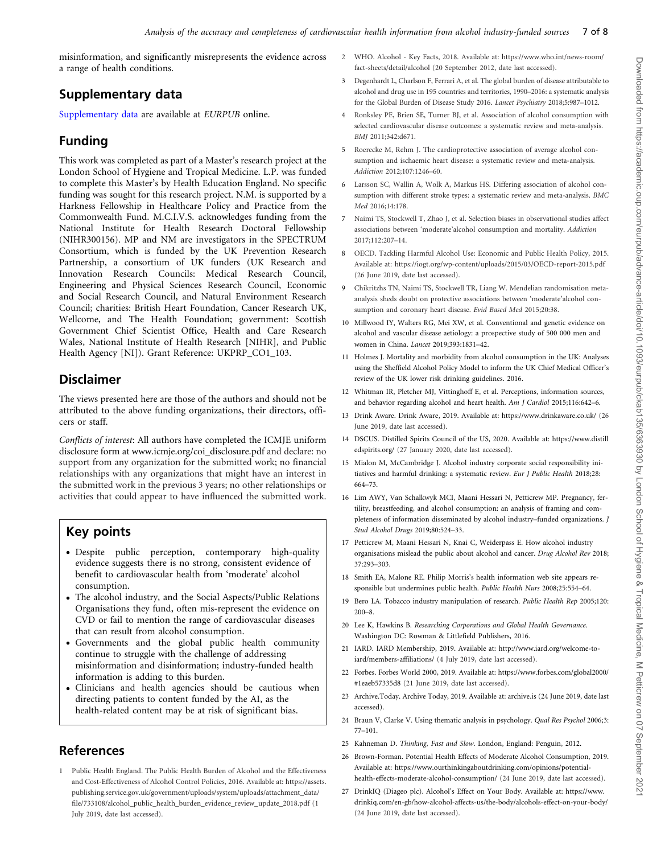<span id="page-6-0"></span>misinformation, and significantly misrepresents the evidence across a range of health conditions.

# Supplementary data

[Supplementary data](https://academic.oup.com/eurpub/article-lookup/doi/10.1093/eurpub/ckab135#supplementary-data) are available at EURPUB online.

# Funding

This work was completed as part of a Master's research project at the London School of Hygiene and Tropical Medicine. L.P. was funded to complete this Master's by Health Education England. No specific funding was sought for this research project. N.M. is supported by a Harkness Fellowship in Healthcare Policy and Practice from the Commonwealth Fund. M.C.I.V.S. acknowledges funding from the National Institute for Health Research Doctoral Fellowship (NIHR300156). MP and NM are investigators in the SPECTRUM Consortium, which is funded by the UK Prevention Research Partnership, a consortium of UK funders (UK Research and Innovation Research Councils: Medical Research Council, Engineering and Physical Sciences Research Council, Economic and Social Research Council, and Natural Environment Research Council; charities: British Heart Foundation, Cancer Research UK, Wellcome, and The Health Foundation; government: Scottish Government Chief Scientist Office, Health and Care Research Wales, National Institute of Health Research [NIHR], and Public Health Agency [NI]). Grant Reference: UKPRP\_CO1\_103.

# Disclaimer

The views presented here are those of the authors and should not be attributed to the above funding organizations, their directors, officers or staff.

Conflicts of interest: All authors have completed the ICMJE uniform disclosure form at [www.icmje.org/coi\\_disclosure.pdf](http://www.icmje.org/coi_disclosure.pdf) and declare: no support from any organization for the submitted work; no financial relationships with any organizations that might have an interest in the submitted work in the previous 3 years; no other relationships or activities that could appear to have influenced the submitted work.

# Key points

- Despite public perception, contemporary high-quality evidence suggests there is no strong, consistent evidence of benefit to cardiovascular health from 'moderate' alcohol consumption.
- The alcohol industry, and the Social Aspects/Public Relations Organisations they fund, often mis-represent the evidence on CVD or fail to mention the range of cardiovascular diseases that can result from alcohol consumption.
- Governments and the global public health community continue to struggle with the challenge of addressing misinformation and disinformation; industry-funded health information is adding to this burden.
- Clinicians and health agencies should be cautious when directing patients to content funded by the AI, as the health-related content may be at risk of significant bias.

# References

[1](#page-0-0) Public Health England. The Public Health Burden of Alcohol and the Effectiveness and Cost-Effectiveness of Alcohol Control Policies, 2016. Available at: [https://assets.](https://assets.publishing.service.gov.uk/government/uploads/system/uploads/attachment_data/file/733108/alcohol_public_health_burden_evidence_review_update_2018.pdf) [publishing.service.gov.uk/government/uploads/system/uploads/attachment\\_data/](https://assets.publishing.service.gov.uk/government/uploads/system/uploads/attachment_data/file/733108/alcohol_public_health_burden_evidence_review_update_2018.pdf) [file/733108/alcohol\\_public\\_health\\_burden\\_evidence\\_review\\_update\\_2018.pdf](https://assets.publishing.service.gov.uk/government/uploads/system/uploads/attachment_data/file/733108/alcohol_public_health_burden_evidence_review_update_2018.pdf) (1 July 2019, date last accessed).

- [2](#page-0-0) WHO. Alcohol Key Facts, 2018. Available at: [https://www.who.int/news-room/](https://www.who.int/news-room/fact-sheets/detail/alcohol) [fact-sheets/detail/alcohol](https://www.who.int/news-room/fact-sheets/detail/alcohol) (20 September 2012, date last accessed).
- [3](#page-0-0) Degenhardt L, Charlson F, Ferrari A, et al. The global burden of disease attributable to alcohol and drug use in 195 countries and territories, 1990–2016: a systematic analysis for the Global Burden of Disease Study 2016. Lancet Psychiatry 2018;5:987–1012.
- [4](#page-0-0) Ronksley PE, Brien SE, Turner BJ, et al. Association of alcohol consumption with selected cardiovascular disease outcomes: a systematic review and meta-analysis. BMJ 2011;342:d671.
- [5](#page-0-0) Roerecke M, Rehm J. The cardioprotective association of average alcohol consumption and ischaemic heart disease: a systematic review and meta-analysis. Addiction 2012;107:1246–60.
- [6](#page-0-0) Larsson SC, Wallin A, Wolk A, Markus HS. Differing association of alcohol consumption with different stroke types: a systematic review and meta-analysis. BMC Med 2016;14:178.
- [7](#page-0-0) Naimi TS, Stockwell T, Zhao J, et al. Selection biases in observational studies affect associations between 'moderate'alcohol consumption and mortality. Addiction 2017;112:207–14.
- [8](#page-0-0) OECD. Tackling Harmful Alcohol Use: Economic and Public Health Policy, 2015. Available at:<https://iogt.org/wp-content/uploads/2015/03/OECD-report-2015.pdf> (26 June 2019, date last accessed).
- [9](#page-0-0) Chikritzhs TN, Naimi TS, Stockwell TR, Liang W. Mendelian randomisation metaanalysis sheds doubt on protective associations between 'moderate'alcohol consumption and coronary heart disease. Evid Based Med 2015;20:38.
- [10](#page-0-0) Millwood IY, Walters RG, Mei XW, et al. Conventional and genetic evidence on alcohol and vascular disease aetiology: a prospective study of 500 000 men and women in China. Lancet 2019;393:1831–42.
- [11](#page-0-0) Holmes J. Mortality and morbidity from alcohol consumption in the UK: Analyses using the Sheffield Alcohol Policy Model to inform the UK Chief Medical Officer's review of the UK lower risk drinking guidelines. 2016.
- [12](#page-0-0) Whitman IR, Pletcher MJ, Vittinghoff E, et al. Perceptions, information sources, and behavior regarding alcohol and heart health. Am J Cardiol 2015;116:642–6.
- [13](#page-0-0) Drink Aware. Drink Aware, 2019. Available at:<https://www.drinkaware.co.uk/> (26 June 2019, date last accessed).
- [14](#page-0-0) DSCUS. Distilled Spirits Council of the US, 2020. Available at: [https://www.distill](https://www.distilledspirits.org/) [edspirits.org/](https://www.distilledspirits.org/) (27 January 2020, date last accessed).
- [15](#page-0-0) Mialon M, McCambridge J. Alcohol industry corporate social responsibility initiatives and harmful drinking: a systematic review. Eur J Public Health 2018;28: 664–73.
- [16](#page-0-0) Lim AWY, Van Schalkwyk MCI, Maani Hessari N, Petticrew MP. Pregnancy, fertility, breastfeeding, and alcohol consumption: an analysis of framing and completeness of information disseminated by alcohol industry–funded organizations. J Stud Alcohol Drugs 2019;80:524–33.
- [17](#page-0-0) Petticrew M, Maani Hessari N, Knai C, Weiderpass E. How alcohol industry organisations mislead the public about alcohol and cancer. Drug Alcohol Rev 2018; 37:293–303.
- [18](#page-0-0) Smith EA, Malone RE. Philip Morris's health information web site appears responsible but undermines public health. Public Health Nurs 2008;25:554–64.
- [19](#page-0-0) Bero LA. Tobacco industry manipulation of research. Public Health Rep 2005;120: 200–8.
- [20](#page-1-0) Lee K, Hawkins B. Researching Corporations and Global Health Governance. Washington DC: Rowman & Littlefield Publishers, 2016.
- [21](#page-1-0) IARD. IARD Membership, 2019. Available at: [http://www.iard.org/welcome-to](http://www.iard.org/welcome-to-iard/members-affiliations/)[iard/members-affiliations/](http://www.iard.org/welcome-to-iard/members-affiliations/) (4 July 2019, date last accessed).
- [22](#page-1-0) Forbes. Forbes World 2000, 2019. Available at: [https://www.forbes.com/global2000/](https://www.forbes.com/global2000/#1eaeb57335d8) [#1eaeb57335d8](https://www.forbes.com/global2000/#1eaeb57335d8) (21 June 2019, date last accessed).
- [23](#page-1-0) Archive.Today. Archive Today, 2019. Available at: archive.is (24 June 2019, date last accessed).
- [24](#page-1-0) Braun V, Clarke V. Using thematic analysis in psychology. Qual Res Psychol 2006;3: 77–101.
- [25](#page-2-0) Kahneman D. Thinking, Fast and Slow. London, England: Penguin, 2012.
- [26](#page-1-0) Brown-Forman. Potential Health Effects of Moderate Alcohol Consumption, 2019. Available at: [https://www.ourthinkingaboutdrinking.com/opinions/potential](https://www.ourthinkingaboutdrinking.com/opinions/potential-health-effects-moderate-alcohol-consumption/)[health-effects-moderate-alcohol-consumption/](https://www.ourthinkingaboutdrinking.com/opinions/potential-health-effects-moderate-alcohol-consumption/) (24 June 2019, date last accessed).
- [27](#page-1-0) DrinkIQ (Diageo plc). Alcohol's Effect on Your Body. Available at: [https://www.](https://www.drinkiq.com/en-gb/how-alcohol-affects-us/the-body/alcohols-effect-on-your-body/) [drinkiq.com/en-gb/how-alcohol-affects-us/the-body/alcohols-effect-on-your-body/](https://www.drinkiq.com/en-gb/how-alcohol-affects-us/the-body/alcohols-effect-on-your-body/) (24 June 2019, date last accessed).